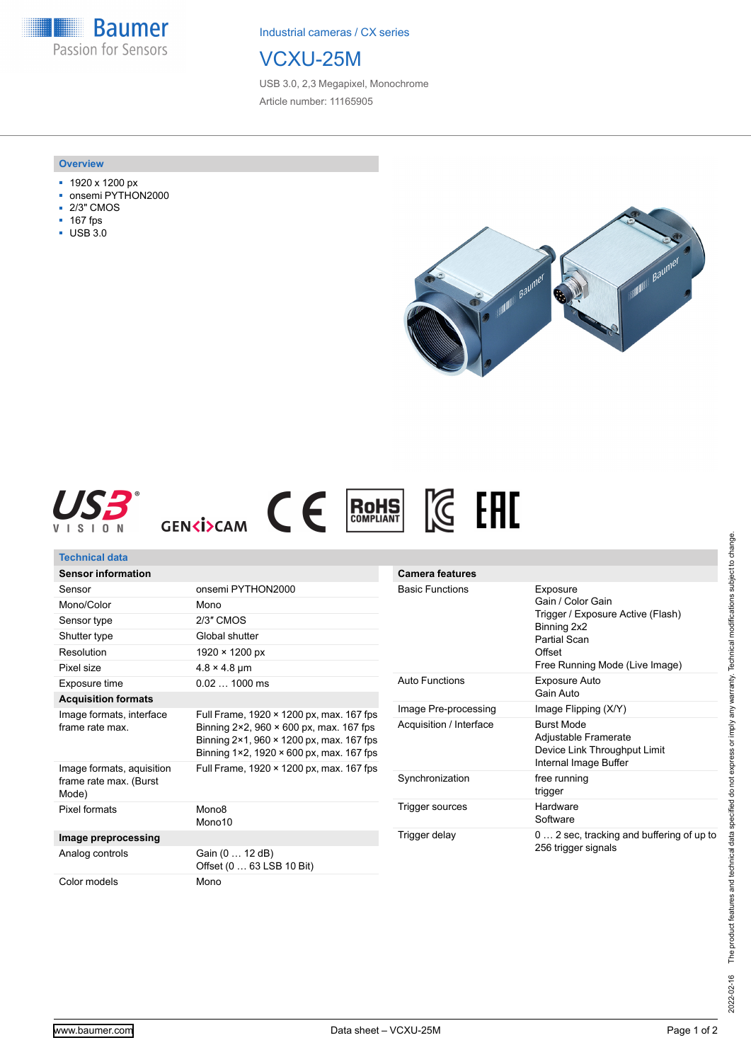**Baumer** Passion for Sensors

Industrial cameras / CX series

## VCXU-25M

USB 3.0, 2,3 Megapixel, Monochrome Article number: 11165905

## **Overview**

- 1920 x 1200 px
- onsemi PYTHON2000
- 2/3" CMOS
- 167 fps
- USB 3.0







| Technical data                                      |                                                                                                                                 |                         |                                                                                                                    |
|-----------------------------------------------------|---------------------------------------------------------------------------------------------------------------------------------|-------------------------|--------------------------------------------------------------------------------------------------------------------|
| <b>Sensor information</b>                           |                                                                                                                                 | <b>Camera features</b>  |                                                                                                                    |
| Sensor                                              | onsemi PYTHON2000                                                                                                               | <b>Basic Functions</b>  | Exposure<br>Gain / Color Gain<br>Trigger / Exposure Active (Flash)<br>Binning 2x2<br><b>Partial Scan</b><br>Offset |
| Mono/Color                                          | Mono                                                                                                                            |                         |                                                                                                                    |
| Sensor type                                         | 2/3" CMOS                                                                                                                       |                         |                                                                                                                    |
| Shutter type                                        | Global shutter                                                                                                                  |                         |                                                                                                                    |
| Resolution                                          | $1920 \times 1200 \text{ px}$                                                                                                   |                         |                                                                                                                    |
| Pixel size                                          | $4.8 \times 4.8$ µm                                                                                                             |                         | Free Running Mode (Live Image)                                                                                     |
| Exposure time                                       | $0.021000$ ms                                                                                                                   | <b>Auto Functions</b>   | Exposure Auto                                                                                                      |
| <b>Acquisition formats</b>                          |                                                                                                                                 |                         | Gain Auto                                                                                                          |
| Image formats, interface<br>frame rate max.         | Full Frame, 1920 × 1200 px, max. 167 fps<br>Binning 2×2, 960 × 600 px, max. 167 fps<br>Binning 2×1, 960 × 1200 px, max. 167 fps | Image Pre-processing    | Image Flipping (X/Y)                                                                                               |
|                                                     |                                                                                                                                 | Acquisition / Interface | <b>Burst Mode</b>                                                                                                  |
|                                                     |                                                                                                                                 |                         | Adjustable Framerate<br>Device Link Throughput Limit                                                               |
|                                                     | Binning 1×2, 1920 × 600 px, max. 167 fps                                                                                        |                         | Internal Image Buffer                                                                                              |
| Image formats, aquisition<br>frame rate max. (Burst | Full Frame, 1920 × 1200 px, max. 167 fps                                                                                        | Synchronization         | free running                                                                                                       |
| Mode)                                               |                                                                                                                                 |                         | trigger                                                                                                            |
| Pixel formats                                       | Mono <sub>8</sub>                                                                                                               | Trigger sources         | Hardware                                                                                                           |
|                                                     | Mono10                                                                                                                          |                         | Software                                                                                                           |
| Image preprocessing                                 |                                                                                                                                 | Trigger delay           | 0  2 sec, tracking and buffering of up to                                                                          |
| Analog controls                                     | Gain (0  12 dB)                                                                                                                 |                         | 256 trigger signals                                                                                                |
|                                                     | Offset (0  63 LSB 10 Bit)                                                                                                       |                         |                                                                                                                    |
| Color models                                        | Mono                                                                                                                            |                         |                                                                                                                    |